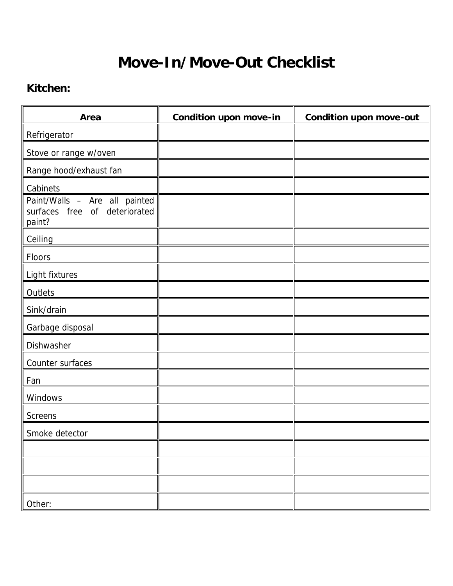# **Move-In/Move-Out Checklist**

#### **Kitchen:**

| Area                                                                     | <b>Condition upon move-in</b> | <b>Condition upon move-out</b> |
|--------------------------------------------------------------------------|-------------------------------|--------------------------------|
| Refrigerator                                                             |                               |                                |
| Stove or range w/oven                                                    |                               |                                |
| Range hood/exhaust fan                                                   |                               |                                |
| Cabinets                                                                 |                               |                                |
| Paint/Walls - Are all painted<br>surfaces free of deteriorated<br>paint? |                               |                                |
| Ceiling                                                                  |                               |                                |
| Floors                                                                   |                               |                                |
| Light fixtures                                                           |                               |                                |
| Outlets                                                                  |                               |                                |
| Sink/drain                                                               |                               |                                |
| Garbage disposal                                                         |                               |                                |
| Dishwasher                                                               |                               |                                |
| Counter surfaces                                                         |                               |                                |
| Fan                                                                      |                               |                                |
| Windows                                                                  |                               |                                |
| <b>Screens</b>                                                           |                               |                                |
| Smoke detector                                                           |                               |                                |
|                                                                          |                               |                                |
|                                                                          |                               |                                |
|                                                                          |                               |                                |
| Other:                                                                   |                               |                                |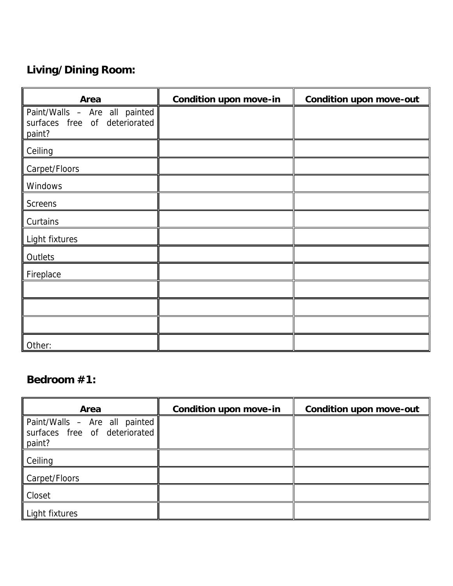# **Living/Dining Room:**

| Area                                                                     | <b>Condition upon move-in</b> | <b>Condition upon move-out</b> |
|--------------------------------------------------------------------------|-------------------------------|--------------------------------|
| Paint/Walls - Are all painted<br>surfaces free of deteriorated<br>paint? |                               |                                |
| Ceiling                                                                  |                               |                                |
| Carpet/Floors                                                            |                               |                                |
| Windows                                                                  |                               |                                |
| <b>Screens</b>                                                           |                               |                                |
| Curtains                                                                 |                               |                                |
| Light fixtures                                                           |                               |                                |
| Outlets                                                                  |                               |                                |
| Fireplace                                                                |                               |                                |
|                                                                          |                               |                                |
|                                                                          |                               |                                |
|                                                                          |                               |                                |
| Other:                                                                   |                               |                                |

#### **Bedroom #1:**

| Area                                                                     | <b>Condition upon move-in</b> | <b>Condition upon move-out</b> |
|--------------------------------------------------------------------------|-------------------------------|--------------------------------|
| Paint/Walls - Are all painted<br>surfaces free of deteriorated<br>paint? |                               |                                |
| Ceiling                                                                  |                               |                                |
| Carpet/Floors                                                            |                               |                                |
| Closet                                                                   |                               |                                |
| Light fixtures                                                           |                               |                                |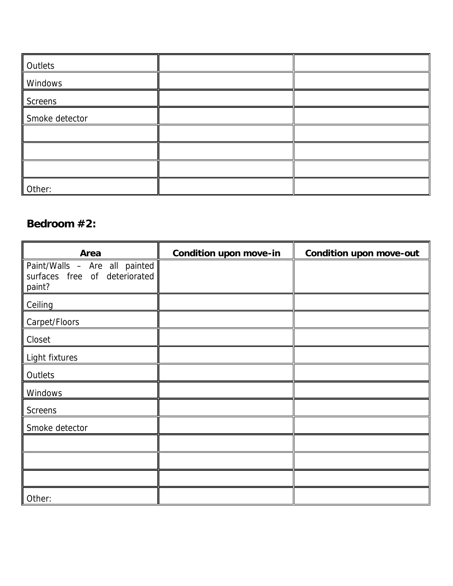| Outlets        |  |
|----------------|--|
| Windows        |  |
| Screens        |  |
| Smoke detector |  |
|                |  |
|                |  |
|                |  |
| Other:         |  |

#### **Bedroom #2:**

| Area                                                                     | <b>Condition upon move-in</b> | <b>Condition upon move-out</b> |
|--------------------------------------------------------------------------|-------------------------------|--------------------------------|
| Paint/Walls - Are all painted<br>surfaces free of deteriorated<br>paint? |                               |                                |
| Ceiling                                                                  |                               |                                |
| Carpet/Floors                                                            |                               |                                |
| Closet                                                                   |                               |                                |
| Light fixtures                                                           |                               |                                |
| Outlets                                                                  |                               |                                |
| Windows                                                                  |                               |                                |
| <b>Screens</b>                                                           |                               |                                |
| Smoke detector                                                           |                               |                                |
|                                                                          |                               |                                |
|                                                                          |                               |                                |
|                                                                          |                               |                                |
| Other:                                                                   |                               |                                |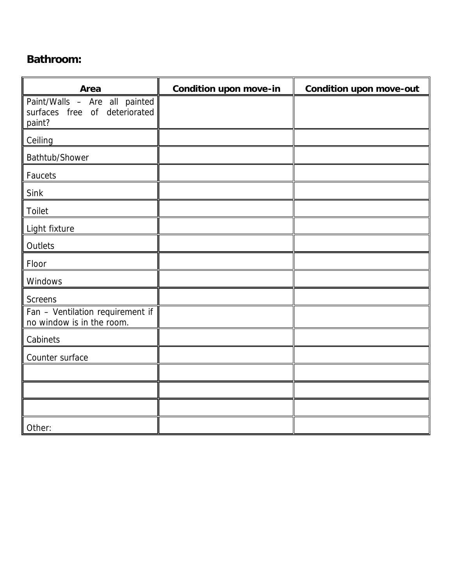#### **Bathroom:**

| Area                                                                     | <b>Condition upon move-in</b> | <b>Condition upon move-out</b> |
|--------------------------------------------------------------------------|-------------------------------|--------------------------------|
| Paint/Walls - Are all painted<br>surfaces free of deteriorated<br>paint? |                               |                                |
| Ceiling                                                                  |                               |                                |
| Bathtub/Shower                                                           |                               |                                |
| Faucets                                                                  |                               |                                |
| Sink                                                                     |                               |                                |
| Toilet                                                                   |                               |                                |
| Light fixture                                                            |                               |                                |
| Outlets                                                                  |                               |                                |
| Floor                                                                    |                               |                                |
| Windows                                                                  |                               |                                |
| <b>Screens</b>                                                           |                               |                                |
| Fan - Ventilation requirement if<br>no window is in the room.            |                               |                                |
| Cabinets                                                                 |                               |                                |
| Counter surface                                                          |                               |                                |
|                                                                          |                               |                                |
|                                                                          |                               |                                |
|                                                                          |                               |                                |
| Other:                                                                   |                               |                                |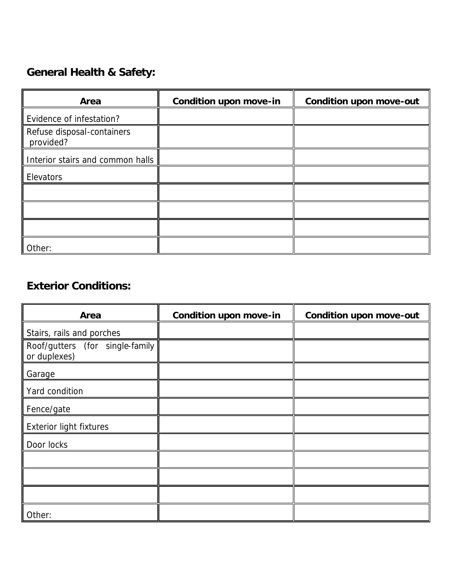## **General Health & Safety:**

| Area                                    | <b>Condition upon move-in</b> | <b>Condition upon move-out</b> |
|-----------------------------------------|-------------------------------|--------------------------------|
| Evidence of infestation?                |                               |                                |
| Refuse disposal-containers<br>provided? |                               |                                |
| Interior stairs and common halls        |                               |                                |
| Elevators                               |                               |                                |
|                                         |                               |                                |
|                                         |                               |                                |
|                                         |                               |                                |
| Other:                                  |                               |                                |

#### **Exterior Conditions:**

| Area                                            | <b>Condition upon move-in</b> | <b>Condition upon move-out</b> |
|-------------------------------------------------|-------------------------------|--------------------------------|
| Stairs, rails and porches                       |                               |                                |
| Roof/gutters (for single-family<br>or duplexes) |                               |                                |
| Garage                                          |                               |                                |
| Yard condition                                  |                               |                                |
| Fence/gate                                      |                               |                                |
| <b>Exterior light fixtures</b>                  |                               |                                |
| Door locks                                      |                               |                                |
|                                                 |                               |                                |
|                                                 |                               |                                |
|                                                 |                               |                                |
| Other:                                          |                               |                                |